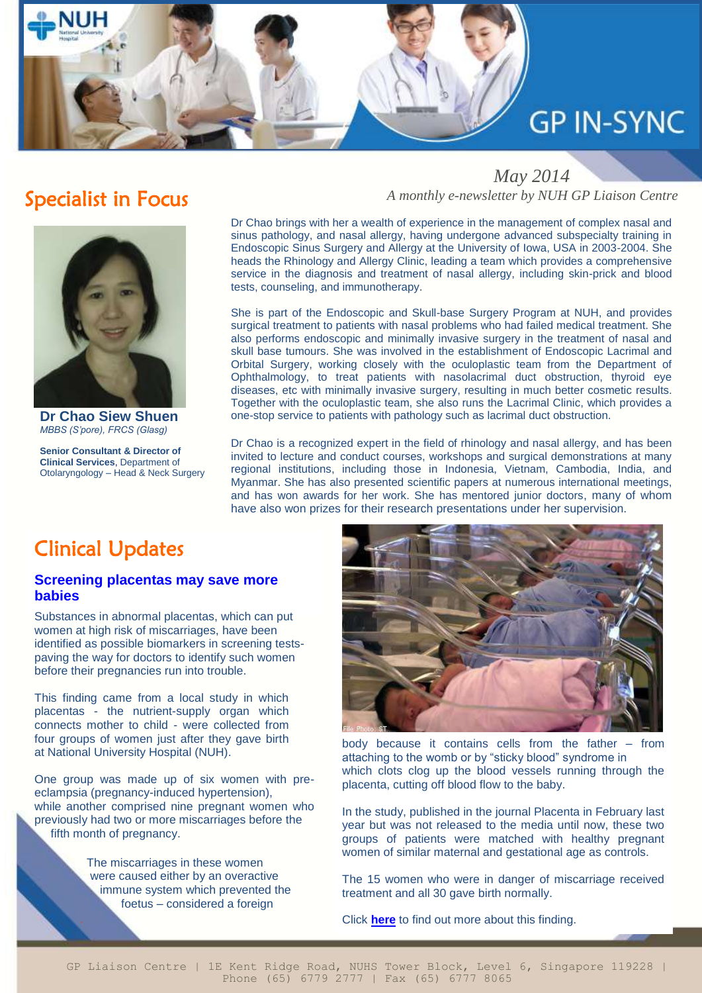# **GP IN-SYNC**

### Specialist in Focus

**Dr Chao Siew Shuen** *MBBS (S'pore), FRCS (Glasg)*

**Senior Consultant & Director of Clinical Services**, Department of Otolaryngology – Head & Neck Surgery

 *May 2014 A monthly e-newsletter by NUH GP Liaison Centre*

Dr Chao brings with her a wealth of experience in the management of complex nasal and sinus pathology, and nasal allergy, having undergone advanced subspecialty training in Endoscopic Sinus Surgery and Allergy at the University of Iowa, USA in 2003-2004. She heads the Rhinology and Allergy Clinic, leading a team which provides a comprehensive service in the diagnosis and treatment of nasal allergy, including skin-prick and blood tests, counseling, and immunotherapy.

She is part of the Endoscopic and Skull-base Surgery Program at NUH, and provides surgical treatment to patients with nasal problems who had failed medical treatment. She also performs endoscopic and minimally invasive surgery in the treatment of nasal and skull base tumours. She was involved in the establishment of Endoscopic Lacrimal and Orbital Surgery, working closely with the oculoplastic team from the Department of Ophthalmology, to treat patients with nasolacrimal duct obstruction, thyroid eye diseases, etc with minimally invasive surgery, resulting in much better cosmetic results. Together with the oculoplastic team, she also runs the Lacrimal Clinic, which provides a one-stop service to patients with pathology such as lacrimal duct obstruction.

Dr Chao is a recognized expert in the field of rhinology and nasal allergy, and has been invited to lecture and conduct courses, workshops and surgical demonstrations at many regional institutions, including those in Indonesia, Vietnam, Cambodia, India, and Myanmar. She has also presented scientific papers at numerous international meetings, and has won awards for her work. She has mentored junior doctors, many of whom have also won prizes for their research presentations under her supervision.

# Clinical Updates

l

.

#### Europe to learn from him. **Screening placentas may save more babies**

Substances in abnormal placentas, which can put women at high risk of miscarriages, have been identified as possible biomarkers in screening testspaving the way for doctors to identify such women before their pregnancies run into trouble.

This finding came from a local study in which placentas - the nutrient-supply organ which connects mother to child - were collected from four groups of women just after they gave birth at National University Hospital (NUH).

One group was made up of six women with preeclampsia (pregnancy-induced hypertension), while another comprised nine pregnant women who previously had two or more miscarriages before the fifth month of pregnancy.

> The miscarriages in these women were caused either by an overactive immune system which prevented the foetus – considered a foreign



body because it contains cells from the father – from attaching to the womb or by "sticky blood" syndrome in which clots clog up the blood vessels running through the placenta, cutting off blood flow to the baby.

In the study, published in the journal Placenta in February last year but was not released to the media until now, these two groups of patients were matched with healthy pregnant women of similar maternal and gestational age as controls.

The 15 women who were in danger of miscarriage received treatment and all 30 gave birth normally.

Click **[here](http://www.nuh.com.sg/wbn/slot/u3007/Patients%20and%20Visitors/Newsroom/Media%20Articles/2014/APRIL/ScreeningPlacenta.pdf)** to find out more about this finding.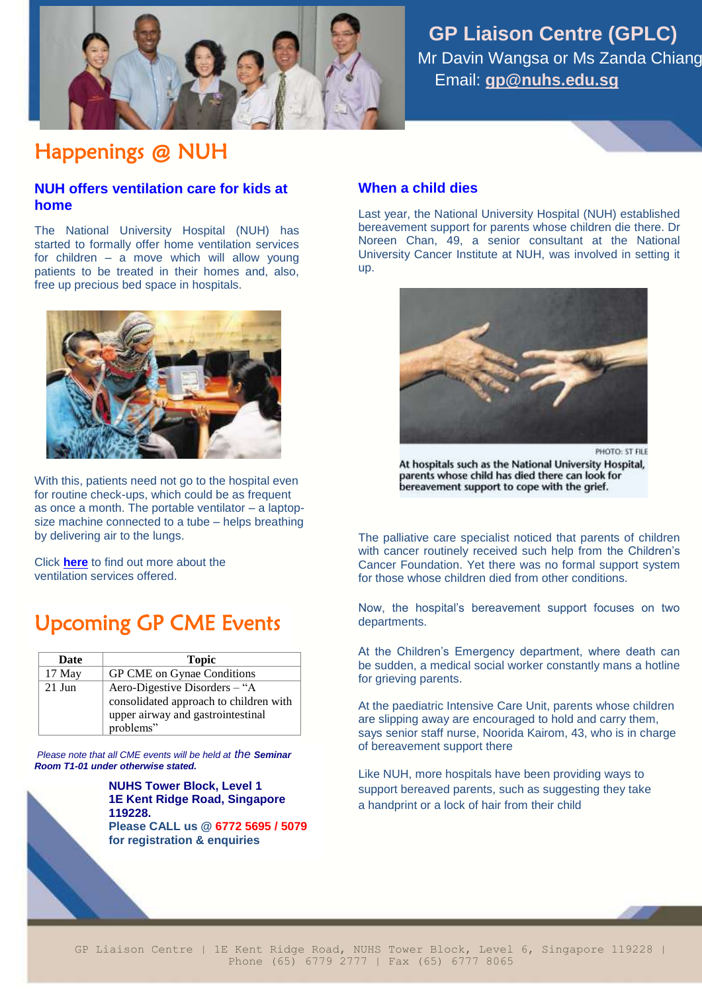

 **GP Liaison Centre (GPLC)** Mr Davin Wangsa or Ms Zanda Chiang Email: **[gp@nuhs.edu.sg](mailto:gp@nuhs.edu.sg)**

# Happenings @ NUH

### **NUH offers ventilation care for kids at home**

The National University Hospital (NUH) has started to formally offer home ventilation services for children – a move which will allow young patients to be treated in their homes and, also, free up precious bed space in hospitals.



With this, patients need not go to the hospital even for routine check-ups, which could be as frequent as once a month. The portable ventilator – a laptopsize machine connected to a tube – helps breathing by delivering air to the lungs.

Click **[here](http://www.nuh.com.sg/wbn/slot/u2995/News%20Articles/2014/APR/ST-20140423-HOM-001%5b1%5d.pdf)** to find out more about the ventilation services offered.

# Upcoming GP CME Events

| Date     | <b>Topic</b>                           |
|----------|----------------------------------------|
| 17 May   | GP CME on Gynae Conditions             |
| $21$ Jun | Aero-Digestive Disorders – "A          |
|          | consolidated approach to children with |
|          | upper airway and gastrointestinal      |
|          | problems"                              |

 *Please note that all CME events will be held at the Seminar Room T1-01 under otherwise stated.*

> **NUHS Tower Block, Level 1 1E Kent Ridge Road, Singapore 119228.**

**Please CALL us @ 6772 5695 / 5079 for registration & enquiries**

### **When a child dies**

Last year, the National University Hospital (NUH) established bereavement support for parents whose children die there. Dr Noreen Chan, 49, a senior consultant at the National University Cancer Institute at NUH, was involved in setting it up.



At hospitals such as the National University Hospital, parents whose child has died there can look for bereavement support to cope with the grief.

The palliative care specialist noticed that parents of children with cancer routinely received such help from the Children's Cancer Foundation. Yet there was no formal support system for those whose children died from other conditions.

Now, the hospital's bereavement support focuses on two departments.

At the Children's Emergency department, where death can be sudden, a medical social worker constantly mans a hotline for grieving parents.

At the paediatric Intensive Care Unit, parents whose children are slipping away are encouraged to hold and carry them, says senior staff nurse, Noorida Kairom, 43, who is in charge of bereavement support there

Like NUH, more hospitals have been providing ways to support bereaved parents, such as suggesting they take a handprint or a lock of hair from their child